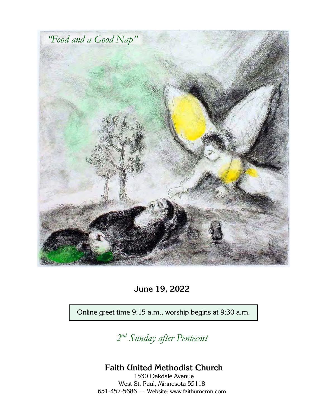

**June 19, 2022**

Online greet time 9:15 a.m., worship begins at 9:30 a.m.

*2 nd Sunday after Pentecost*

## **Faith United Methodist Church**

1530 Oakdale Avenue West St. Paul, Minnesota 55118 651-457-5686 – Website: [www.faithumcmn.com](http://www.faithumcmn.com/)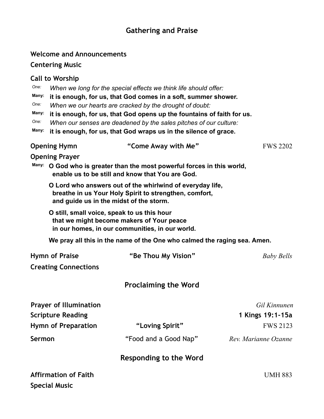## **Gathering and Praise**

|                                                           | <b>Welcome and Announcements</b>                                                                                                                                                                                                                                                                                                                                                                                                           |                                                                          |                                                     |
|-----------------------------------------------------------|--------------------------------------------------------------------------------------------------------------------------------------------------------------------------------------------------------------------------------------------------------------------------------------------------------------------------------------------------------------------------------------------------------------------------------------------|--------------------------------------------------------------------------|-----------------------------------------------------|
|                                                           | <b>Centering Music</b>                                                                                                                                                                                                                                                                                                                                                                                                                     |                                                                          |                                                     |
| One:<br>Many:<br>One:<br>Many:<br>One:<br>Many:           | <b>Call to Worship</b><br>When we long for the special effects we think life should offer:<br>it is enough, for us, that God comes in a soft, summer shower.<br>When we our hearts are cracked by the drought of doubt:<br>it is enough, for us, that God opens up the fountains of faith for us.<br>When our senses are deadened by the sales pitches of our culture:<br>it is enough, for us, that God wraps us in the silence of grace. |                                                                          |                                                     |
|                                                           | <b>Opening Hymn</b>                                                                                                                                                                                                                                                                                                                                                                                                                        | "Come Away with Me"                                                      | <b>FWS 2202</b>                                     |
| Many:                                                     | <b>Opening Prayer</b><br>O God who is greater than the most powerful forces in this world,<br>enable us to be still and know that You are God.                                                                                                                                                                                                                                                                                             |                                                                          |                                                     |
|                                                           | O Lord who answers out of the whirlwind of everyday life,<br>breathe in us Your Holy Spirit to strengthen, comfort,<br>and guide us in the midst of the storm.                                                                                                                                                                                                                                                                             |                                                                          |                                                     |
|                                                           | O still, small voice, speak to us this hour<br>that we might become makers of Your peace<br>in our homes, in our communities, in our world.                                                                                                                                                                                                                                                                                                |                                                                          |                                                     |
|                                                           |                                                                                                                                                                                                                                                                                                                                                                                                                                            | We pray all this in the name of the One who calmed the raging sea. Amen. |                                                     |
| <b>Hymn of Praise</b>                                     |                                                                                                                                                                                                                                                                                                                                                                                                                                            | "Be Thou My Vision"                                                      | <b>Baby Bells</b>                                   |
|                                                           | <b>Creating Connections</b>                                                                                                                                                                                                                                                                                                                                                                                                                |                                                                          |                                                     |
|                                                           |                                                                                                                                                                                                                                                                                                                                                                                                                                            | <b>Proclaiming the Word</b>                                              |                                                     |
| <b>Prayer of Illumination</b><br><b>Scripture Reading</b> |                                                                                                                                                                                                                                                                                                                                                                                                                                            |                                                                          | Gil Kinnunen<br>1 Kings 19:1-15a<br><b>FWS 2123</b> |
|                                                           | <b>Hymn of Preparation</b>                                                                                                                                                                                                                                                                                                                                                                                                                 | "Loving Spirit"                                                          |                                                     |
| Sermon                                                    |                                                                                                                                                                                                                                                                                                                                                                                                                                            | "Food and a Good Nap"                                                    | Rev. Marianne Ozanne                                |
|                                                           |                                                                                                                                                                                                                                                                                                                                                                                                                                            | <b>Responding to the Word</b>                                            |                                                     |
| <b>Affirmation of Faith</b>                               |                                                                                                                                                                                                                                                                                                                                                                                                                                            |                                                                          | <b>UMH 883</b>                                      |
|                                                           | <b>Special Music</b>                                                                                                                                                                                                                                                                                                                                                                                                                       |                                                                          |                                                     |